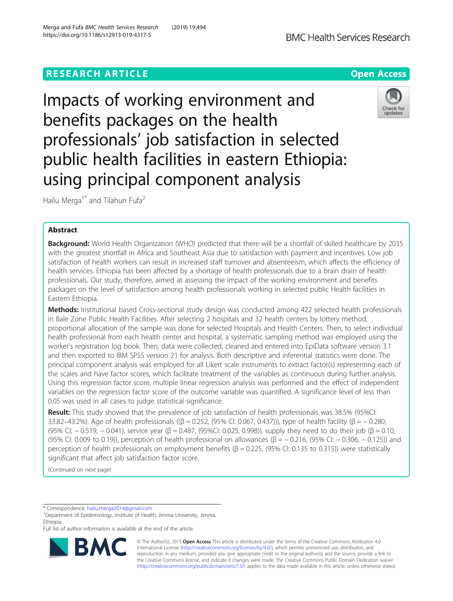# **RESEARCH ARTICLE Example 2018 12:30 THE Open Access**



Impacts of working environment and benefits packages on the health professionals' job satisfaction in selected public health facilities in eastern Ethiopia: using principal component analysis



Hailu Merga<sup>1\*</sup> and Tilahun Fufa<sup>2</sup>

## Abstract

Background: World Health Organization (WHO) predicted that there will be a shortfall of skilled healthcare by 2035 with the greatest shortfall in Africa and Southeast Asia due to satisfaction with payment and incentives. Low job satisfaction of health workers can result in increased staff turnover and absenteeism, which affects the efficiency of health services. Ethiopia has been affected by a shortage of health professionals due to a brain drain of health professionals. Our study, therefore, aimed at assessing the impact of the working environment and benefits packages on the level of satisfaction among health professionals working in selected public Health facilities in Eastern Ethiopia.

Methods: Institutional based Cross-sectional study design was conducted among 422 selected health professionals in Bale Zone Public Health Facilities. After selecting 2 hospitals and 32 health centers by lottery method, proportional allocation of the sample was done for selected Hospitals and Health Centers. Then, to select individual health professional from each health center and hospital, a systematic sampling method was employed using the worker's registration log book. Then, data were collected, cleaned and entered into EpiData software version 3.1 and then exported to IBM SPSS version 21 for analysis. Both descriptive and inferential statistics were done. The principal component analysis was employed for all Likert scale instruments to extract factor(s) representing each of the scales and have factor scores, which facilitate treatment of the variables as continuous during further analysis. Using this regression factor score, multiple linear regression analysis was performed and the effect of independent variables on the regression factor score of the outcome variable was quantified. A significance level of less than 0.05 was used in all cases to judge statistical significance.

Result: This study showed that the prevalence of job satisfaction of health professionals was 38.5% (95%CI: 33.82–43.2%). Age of health professionals ((β = 0.252, (95% CI: 0.067, 0.437))), type of health facility (β =  $-$  0.280, (95% CI; -0.519, -0.041), service year ( $\beta$  = 0.487, (95%CI: 0.025, 0.998)), supply they need to do their job ( $\beta$  = 0.10, (95% CI: 0.009 to 0.19)), perception of health professional on allowances (β = − 0.216, (95% CI: − 0.306, − 0.125)) and perception of health professionals on employment benefits (β = 0.225, (95% CI: 0.135 to 0.315)) were statistically significant that affect job satisfaction factor score.

(Continued on next page)

\* Correspondence: [hailu.merga2014@gmail.com](mailto:hailu.merga2014@gmail.com) <sup>1</sup>

<sup>1</sup>Department of Epidemiology, Institute of Health, Jimma University, Jimma, Ethiopia

Full list of author information is available at the end of the article



© The Author(s). 2019 Open Access This article is distributed under the terms of the Creative Commons Attribution 4.0 International License [\(http://creativecommons.org/licenses/by/4.0/](http://creativecommons.org/licenses/by/4.0/)), which permits unrestricted use, distribution, and reproduction in any medium, provided you give appropriate credit to the original author(s) and the source, provide a link to the Creative Commons license, and indicate if changes were made. The Creative Commons Public Domain Dedication waiver [\(http://creativecommons.org/publicdomain/zero/1.0/](http://creativecommons.org/publicdomain/zero/1.0/)) applies to the data made available in this article, unless otherwise stated.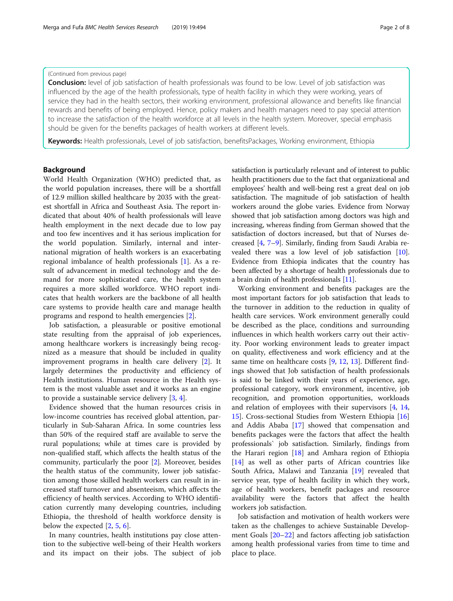### (Continued from previous page)

**Conclusion:** level of job satisfaction of health professionals was found to be low. Level of job satisfaction was influenced by the age of the health professionals, type of health facility in which they were working, years of service they had in the health sectors, their working environment, professional allowance and benefits like financial rewards and benefits of being employed. Hence, policy makers and health managers need to pay special attention to increase the satisfaction of the health workforce at all levels in the health system. Moreover, special emphasis should be given for the benefits packages of health workers at different levels.

Keywords: Health professionals, Level of job satisfaction, benefitsPackages, Working environment, Ethiopia

### Background

World Health Organization (WHO) predicted that, as the world population increases, there will be a shortfall of 12.9 million skilled healthcare by 2035 with the greatest shortfall in Africa and Southeast Asia. The report indicated that about 40% of health professionals will leave health employment in the next decade due to low pay and too few incentives and it has serious implication for the world population. Similarly, internal and international migration of health workers is an exacerbating regional imbalance of health professionals [[1\]](#page-7-0). As a result of advancement in medical technology and the demand for more sophisticated care, the health system requires a more skilled workforce. WHO report indicates that health workers are the backbone of all health care systems to provide health care and manage health programs and respond to health emergencies [[2\]](#page-7-0).

Job satisfaction, a pleasurable or positive emotional state resulting from the appraisal of job experiences, among healthcare workers is increasingly being recognized as a measure that should be included in quality improvement programs in health care delivery [\[2](#page-7-0)]. It largely determines the productivity and efficiency of Health institutions. Human resource in the Health system is the most valuable asset and it works as an engine to provide a sustainable service delivery [[3](#page-7-0), [4](#page-7-0)].

Evidence showed that the human resources crisis in low-income countries has received global attention, particularly in Sub-Saharan Africa. In some countries less than 50% of the required staff are available to serve the rural populations; while at times care is provided by non-qualified staff, which affects the health status of the community, particularly the poor [\[2](#page-7-0)]. Moreover, besides the health status of the community, lower job satisfaction among those skilled health workers can result in increased staff turnover and absenteeism, which affects the efficiency of health services. According to WHO identification currently many developing countries, including Ethiopia, the threshold of health workforce density is below the expected [[2,](#page-7-0) [5,](#page-7-0) [6\]](#page-7-0).

In many countries, health institutions pay close attention to the subjective well-being of their Health workers and its impact on their jobs. The subject of job satisfaction is particularly relevant and of interest to public health practitioners due to the fact that organizational and employees' health and well-being rest a great deal on job satisfaction. The magnitude of job satisfaction of health workers around the globe varies. Evidence from Norway showed that job satisfaction among doctors was high and increasing, whereas finding from German showed that the satisfaction of doctors increased, but that of Nurses decreased [\[4,](#page-7-0) [7](#page-7-0)–[9](#page-7-0)]. Similarly, finding from Saudi Arabia revealed there was a low level of job satisfaction [[10](#page-7-0)]. Evidence from Ethiopia indicates that the country has been affected by a shortage of health professionals due to a brain drain of health professionals [[11](#page-7-0)].

Working environment and benefits packages are the most important factors for job satisfaction that leads to the turnover in addition to the reduction in quality of health care services. Work environment generally could be described as the place, conditions and surrounding influences in which health workers carry out their activity. Poor working environment leads to greater impact on quality, effectiveness and work efficiency and at the same time on healthcare costs [[9,](#page-7-0) [12,](#page-7-0) [13\]](#page-7-0). Different findings showed that Job satisfaction of health professionals is said to be linked with their years of experience, age, professional category, work environment, incentive, job recognition, and promotion opportunities, workloads and relation of employees with their supervisors [[4](#page-7-0), [14](#page-7-0), [15\]](#page-7-0). Cross-sectional Studies from Western Ethiopia [[16](#page-7-0)] and Addis Ababa [\[17](#page-7-0)] showed that compensation and benefits packages were the factors that affect the health professionals` job satisfaction. Similarly, findings from the Harari region  $[18]$  $[18]$  and Amhara region of Ethiopia [[14\]](#page-7-0) as well as other parts of African countries like South Africa, Malawi and Tanzania [[19\]](#page-7-0) revealed that service year, type of health facility in which they work, age of health workers, benefit packages and resource availability were the factors that affect the health workers job satisfaction.

Job satisfaction and motivation of health workers were taken as the challenges to achieve Sustainable Development Goals [\[20](#page-7-0)–[22](#page-7-0)] and factors affecting job satisfaction among health professional varies from time to time and place to place.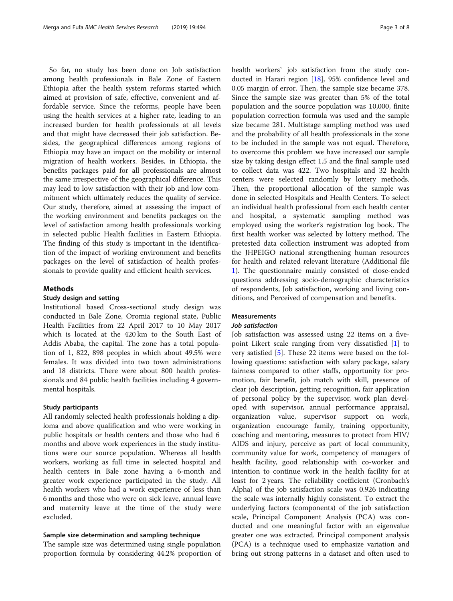So far, no study has been done on Job satisfaction among health professionals in Bale Zone of Eastern Ethiopia after the health system reforms started which aimed at provision of safe, effective, convenient and affordable service. Since the reforms, people have been using the health services at a higher rate, leading to an increased burden for health professionals at all levels and that might have decreased their job satisfaction. Besides, the geographical differences among regions of Ethiopia may have an impact on the mobility or internal migration of health workers. Besides, in Ethiopia, the benefits packages paid for all professionals are almost the same irrespective of the geographical difference. This may lead to low satisfaction with their job and low commitment which ultimately reduces the quality of service. Our study, therefore, aimed at assessing the impact of the working environment and benefits packages on the level of satisfaction among health professionals working in selected public Health facilities in Eastern Ethiopia. The finding of this study is important in the identification of the impact of working environment and benefits packages on the level of satisfaction of health professionals to provide quality and efficient health services.

### Methods

#### Study design and setting

Institutional based Cross-sectional study design was conducted in Bale Zone, Oromia regional state, Public Health Facilities from 22 April 2017 to 10 May 2017 which is located at the 420 km to the South East of Addis Ababa, the capital. The zone has a total population of 1, 822, 898 peoples in which about 49.5% were females. It was divided into two town administrations and 18 districts. There were about 800 health professionals and 84 public health facilities including 4 governmental hospitals.

### Study participants

All randomly selected health professionals holding a diploma and above qualification and who were working in public hospitals or health centers and those who had 6 months and above work experiences in the study institutions were our source population. Whereas all health workers, working as full time in selected hospital and health centers in Bale zone having a 6-month and greater work experience participated in the study. All health workers who had a work experience of less than 6 months and those who were on sick leave, annual leave and maternity leave at the time of the study were excluded.

### Sample size determination and sampling technique

The sample size was determined using single population proportion formula by considering 44.2% proportion of health workers` job satisfaction from the study conducted in Harari region [\[18](#page-7-0)], 95% confidence level and 0.05 margin of error. Then, the sample size became 378. Since the sample size was greater than 5% of the total population and the source population was 10,000, finite population correction formula was used and the sample size became 281. Multistage sampling method was used and the probability of all health professionals in the zone to be included in the sample was not equal. Therefore, to overcome this problem we have increased our sample size by taking design effect 1.5 and the final sample used to collect data was 422. Two hospitals and 32 health centers were selected randomly by lottery methods. Then, the proportional allocation of the sample was done in selected Hospitals and Health Centers. To select an individual health professional from each health center and hospital, a systematic sampling method was employed using the worker's registration log book. The first health worker was selected by lottery method. The pretested data collection instrument was adopted from the JHPEIGO national strengthening human resources for health and related relevant literature (Additional file [1\)](#page-6-0). The questionnaire mainly consisted of close-ended questions addressing socio-demographic characteristics of respondents, Job satisfaction, working and living conditions, and Perceived of compensation and benefits.

### Measurements

### Job satisfaction

Job satisfaction was assessed using 22 items on a fivepoint Likert scale ranging from very dissatisfied [[1](#page-7-0)] to very satisfied [[5](#page-7-0)]. These 22 items were based on the following questions: satisfaction with salary package, salary fairness compared to other staffs, opportunity for promotion, fair benefit, job match with skill, presence of clear job description, getting recognition, fair application of personal policy by the supervisor, work plan developed with supervisor, annual performance appraisal, organization value, supervisor support on work, organization encourage family, training opportunity, coaching and mentoring, measures to protect from HIV/ AIDS and injury, perceive as part of local community, community value for work, competency of managers of health facility, good relationship with co-worker and intention to continue work in the health facility for at least for 2 years. The reliability coefficient (Cronbach's Alpha) of the job satisfaction scale was 0.926 indicating the scale was internally highly consistent. To extract the underlying factors (components) of the job satisfaction scale, Principal Component Analysis (PCA) was conducted and one meaningful factor with an eigenvalue greater one was extracted. Principal component analysis (PCA) is a technique used to emphasize variation and bring out strong patterns in a dataset and often used to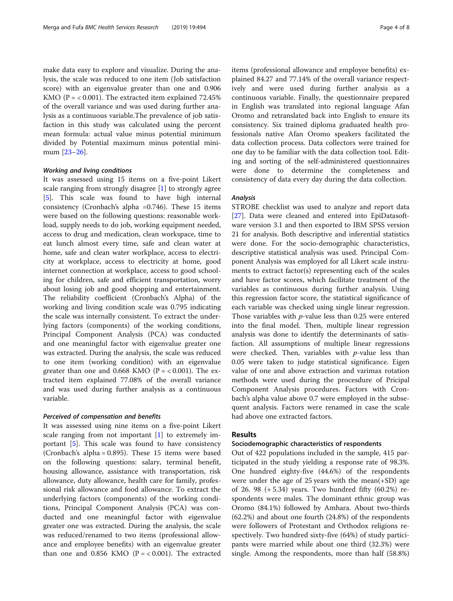make data easy to explore and visualize. During the analysis, the scale was reduced to one item (Job satisfaction score) with an eigenvalue greater than one and 0.906 KMO ( $P = < 0.001$ ). The extracted item explained 72.45% of the overall variance and was used during further analysis as a continuous variable.The prevalence of job satisfaction in this study was calculated using the percent mean formula: actual value minus potential minimum divided by Potential maximum minus potential minimum [\[23](#page-7-0)–[26](#page-7-0)].

#### Working and living conditions

It was assessed using 15 items on a five-point Likert scale ranging from strongly disagree [[1\]](#page-7-0) to strongly agree [[5\]](#page-7-0). This scale was found to have high internal consistency (Cronbach's alpha =0.746). These 15 items were based on the following questions: reasonable workload, supply needs to do job, working equipment needed, access to drug and medication, clean workspace, time to eat lunch almost every time, safe and clean water at home, safe and clean water workplace, access to electricity at workplace, access to electricity at home, good internet connection at workplace, access to good schooling for children, safe and efficient transportation, worry about losing job and good shopping and entertainment. The reliability coefficient (Cronbach's Alpha) of the working and living condition scale was 0.795 indicating the scale was internally consistent. To extract the underlying factors (components) of the working conditions, Principal Component Analysis (PCA) was conducted and one meaningful factor with eigenvalue greater one was extracted. During the analysis, the scale was reduced to one item (working condition) with an eigenvalue greater than one and 0.668 KMO ( $P = < 0.001$ ). The extracted item explained 77.08% of the overall variance and was used during further analysis as a continuous variable.

#### Perceived of compensation and benefits

It was assessed using nine items on a five-point Likert scale ranging from not important [[1\]](#page-7-0) to extremely important  $[5]$  $[5]$ . This scale was found to have consistency (Cronbach's alpha = 0.895). These 15 items were based on the following questions: salary, terminal benefit, housing allowance, assistance with transportation, risk allowance, duty allowance, health care for family, professional risk allowance and food allowance. To extract the underlying factors (components) of the working conditions, Principal Component Analysis (PCA) was conducted and one meaningful factor with eigenvalue greater one was extracted. During the analysis, the scale was reduced/renamed to two items (professional allowance and employee benefits) with an eigenvalue greater than one and 0.856 KMO ( $P = < 0.001$ ). The extracted items (professional allowance and employee benefits) explained 84.27 and 77.14% of the overall variance respectively and were used during further analysis as a continuous variable. Finally, the questionnaire prepared in English was translated into regional language Afan Oromo and retranslated back into English to ensure its consistency. Six trained diploma graduated health professionals native Afan Oromo speakers facilitated the data collection process. Data collectors were trained for one day to be familiar with the data collection tool. Editing and sorting of the self-administered questionnaires were done to determine the completeness and consistency of data every day during the data collection.

### Analysis

STROBE checklist was used to analyze and report data [[27\]](#page-7-0). Data were cleaned and entered into EpiDatasoftware version 3.1 and then exported to IBM SPSS version 21 for analysis. Both descriptive and inferential statistics were done. For the socio-demographic characteristics, descriptive statistical analysis was used. Principal Component Analysis was employed for all Likert scale instruments to extract factor(s) representing each of the scales and have factor scores, which facilitate treatment of the variables as continuous during further analysis. Using this regression factor score, the statistical significance of each variable was checked using single linear regression. Those variables with *p*-value less than 0.25 were entered into the final model. Then, multiple linear regression analysis was done to identify the determinants of satisfaction. All assumptions of multiple linear regressions were checked. Then, variables with  $p$ -value less than 0.05 were taken to judge statistical significance. Eigen value of one and above extraction and varimax rotation methods were used during the procesdure of Pricipal Component Analysis procedures. Factors with Cronbach's alpha value above 0.7 were employed in the subsequent analysis. Factors were renamed in case the scale had above one extracted factors.

### Results

### Sociodemographic characteristics of respondents

Out of 422 populations included in the sample, 415 participated in the study yielding a response rate of 98.3%. One hundred eighty-five (44.6%) of the respondents were under the age of 25 years with the mean(+SD) age of 26. 98 (+ 5.34) years. Two hundred fifty (60.2%) respondents were males. The dominant ethnic group was Oromo (84.1%) followed by Amhara. About two-thirds (62.2%) and about one fourth (24.8%) of the respondents were followers of Protestant and Orthodox religions respectively. Two hundred sixty-five (64%) of study participants were married while about one third (32.3%) were single. Among the respondents, more than half (58.8%)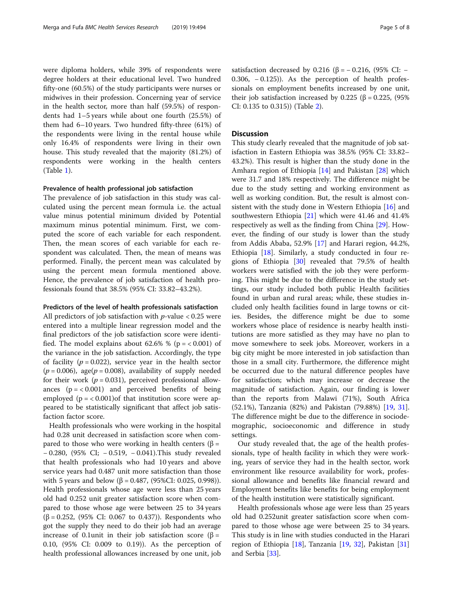were diploma holders, while 39% of respondents were degree holders at their educational level. Two hundred fifty-one (60.5%) of the study participants were nurses or midwives in their profession. Concerning year of service in the health sector, more than half (59.5%) of respondents had 1–5 years while about one fourth (25.5%) of them had 6–10 years. Two hundred fifty-three (61%) of the respondents were living in the rental house while only 16.4% of respondents were living in their own house. This study revealed that the majority (81.2%) of respondents were working in the health centers (Table [1\)](#page-5-0).

### Prevalence of health professional job satisfaction

The prevalence of job satisfaction in this study was calculated using the percent mean formula i.e. the actual value minus potential minimum divided by Potential maximum minus potential minimum. First, we computed the score of each variable for each respondent. Then, the mean scores of each variable for each respondent was calculated. Then, the mean of means was performed. Finally, the percent mean was calculated by using the percent mean formula mentioned above. Hence, the prevalence of job satisfaction of health professionals found that 38.5% (95% CI: 33.82–43.2%).

### Predictors of the level of health professionals satisfaction

All predictors of job satisfaction with  $p$ -value < 0.25 were entered into a multiple linear regression model and the final predictors of the job satisfaction score were identified. The model explains about 62.6% % ( $p = < 0.001$ ) of the variance in the job satisfaction. Accordingly, the type of facility ( $p = 0.022$ ), service year in the health sector  $(p = 0.006)$ , age $(p = 0.008)$ , availability of supply needed for their work ( $p = 0.031$ ), perceived professional allowances  $(p = < 0.001)$  and perceived benefits of being employed  $(p = 0.001)$  of that institution score were appeared to be statistically significant that affect job satisfaction factor score.

Health professionals who were working in the hospital had 0.28 unit decreased in satisfaction score when compared to those who were working in health centers (β = − 0.280, (95% CI; − 0.519, − 0.041).This study revealed that health professionals who had 10 years and above service years had 0.487 unit more satisfaction than those with 5 years and below (β = 0.487, (95%CI: 0.025, 0.998)). Health professionals whose age were less than 25 years old had 0.252 unit greater satisfaction score when compared to those whose age were between 25 to 34 years (β = 0.252, (95% CI: 0.067 to 0.437)). Respondents who got the supply they need to do their job had an average increase of 0.1unit in their job satisfaction score (β = 0.10, (95% CI: 0.009 to 0.19)). As the perception of health professional allowances increased by one unit, job satisfaction decreased by 0.216 (β =  $-$  0.216, (95% CI:  $-$ 0.306, − 0.125)). As the perception of health professionals on employment benefits increased by one unit, their job satisfaction increased by 0.225 (β = 0.225, (95%) CI: 0.135 to 0.315)) (Table [2\)](#page-6-0).

### **Discussion**

This study clearly revealed that the magnitude of job satisfaction in Eastern Ethiopia was 38.5% (95% CI: 33.82– 43.2%). This result is higher than the study done in the Amhara region of Ethiopia [\[14\]](#page-7-0) and Pakistan [[28\]](#page-7-0) which were 31.7 and 18% respectively. The difference might be due to the study setting and working environment as well as working condition. But, the result is almost consistent with the study done in Western Ethiopia [[16](#page-7-0)] and southwestern Ethiopia [\[21](#page-7-0)] which were 41.46 and 41.4% respectively as well as the finding from China [\[29](#page-7-0)]. However, the finding of our study is lower than the study from Addis Ababa, 52.9% [[17\]](#page-7-0) and Harari region, 44.2%, Ethiopia [[18](#page-7-0)]. Similarly, a study conducted in four re-gions of Ethiopia [\[30\]](#page-7-0) revealed that 79.5% of health workers were satisfied with the job they were performing. This might be due to the difference in the study settings, our study included both public Health facilities found in urban and rural areas; while, these studies included only health facilities found in large towns or cities. Besides, the difference might be due to some workers whose place of residence is nearby health institutions are more satisfied as they may have no plan to move somewhere to seek jobs. Moreover, workers in a big city might be more interested in job satisfaction than those in a small city. Furthermore, the difference might be occurred due to the natural difference peoples have for satisfaction; which may increase or decrease the magnitude of satisfaction. Again, our finding is lower than the reports from Malawi (71%), South Africa (52.1%), Tanzania (82%) and Pakistan (79.88%) [\[19](#page-7-0), [31](#page-7-0)]. The difference might be due to the difference in sociodemographic, socioeconomic and difference in study settings.

Our study revealed that, the age of the health professionals, type of health facility in which they were working, years of service they had in the health sector, work environment like resource availability for work, professional allowance and benefits like financial reward and Employment benefits like benefits for being employment of the health institution were statistically significant.

Health professionals whose age were less than 25 years old had 0.252unit greater satisfaction score when compared to those whose age were between 25 to 34 years. This study is in line with studies conducted in the Harari region of Ethiopia [\[18](#page-7-0)], Tanzania [\[19](#page-7-0), [32](#page-7-0)], Pakistan [[31](#page-7-0)] and Serbia [[33\]](#page-7-0).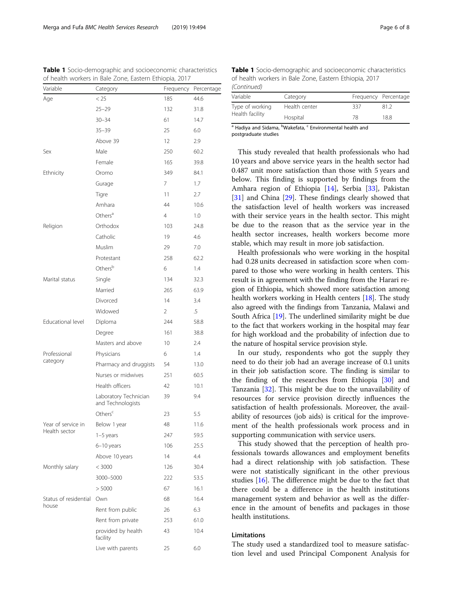| Variable                       | Category                                   | Frequency       | Percentage |
|--------------------------------|--------------------------------------------|-----------------|------------|
| Age                            | < 25                                       | 185             | 44.6       |
|                                | $25 - 29$                                  | 132             | 31.8       |
|                                | $30 - 34$                                  | 61              | 14.7       |
|                                | $35 - 39$                                  | 25              | 6.0        |
|                                | Above 39                                   | 12              | 2.9        |
| Sex                            | Male                                       | 250             | 60.2       |
|                                | Female                                     | 165             | 39.8       |
| Ethnicity                      | Oromo                                      | 349             | 84.1       |
|                                | Gurage                                     | 7               | 1.7        |
|                                | Tigre                                      | 11              | 2.7        |
|                                | Amhara                                     | 44              | 10.6       |
|                                | Others <sup>a</sup>                        | $\overline{4}$  | 1.0        |
| Religion                       | Orthodox                                   | 103             | 24.8       |
|                                | Catholic                                   | 19              | 4.6        |
|                                | Muslim                                     | 29              | 7.0        |
|                                | Protestant                                 | 258             | 62.2       |
|                                | Others <sup>b</sup>                        | 6               | 1.4        |
| Marital status                 | Single                                     | 134             | 32.3       |
|                                | Married                                    | 265             | 63.9       |
|                                | Divorced                                   | 14              | 3.4        |
|                                | Widowed                                    | 2               | .5         |
| Educational level              | Diploma                                    | 244             | 58.8       |
|                                | Degree                                     | 161             | 38.8       |
|                                | Masters and above                          | 10 <sup>°</sup> | 2.4        |
| Professional                   | Physicians                                 | 6               | 1.4        |
| category                       | Pharmacy and druggists                     | 54              | 13.0       |
|                                | Nurses or midwives                         | 251             | 60.5       |
|                                | Health officers                            | 42              | 10.1       |
|                                | Laboratory Technician<br>and Technologists | 39              | 9.4        |
|                                | Others <sup>c</sup>                        | 23              | 5.5        |
| Year of service in             | Below 1 year                               | 48              | 11.6       |
| Health sector                  | $1-5$ years                                | 247             | 59.5       |
|                                | 6-10 years                                 | 106             | 25.5       |
|                                | Above 10 years                             | 14              | 4.4        |
| Monthly salary                 | < 3000                                     | 126             | 30.4       |
|                                | 3000-5000                                  | 222             | 53.5       |
|                                | > 5000                                     | 67              | 16.1       |
| Status of residential<br>house | Own                                        | 68              | 16.4       |
|                                | Rent from public                           | 26              | 6.3        |
|                                | Rent from private                          | 253             | 61.0       |
|                                | provided by health<br>facility             | 43              | 10.4       |
|                                | Live with parents                          | 25              | 6.0        |

<span id="page-5-0"></span>Table 1 Socio-demographic and socioeconomic characteristics of health workers in Bale Zone, Eastern Ethiopia, 2017

Table 1 Socio-demographic and socioeconomic characteristics of health workers in Bale Zone, Eastern Ethiopia, 2017 (Continued)

| Variable        | Category      |     | Frequency Percentage |
|-----------------|---------------|-----|----------------------|
| Type of working | Health center | 337 | 81.2                 |
| Health facility | Hospital      | 78  | 18.8                 |

<sup>a</sup> Hadiya and Sidama, <sup>b</sup>Wakefata, <sup>c</sup> Environmental health and postgraduate studies

This study revealed that health professionals who had 10 years and above service years in the health sector had 0.487 unit more satisfaction than those with 5 years and below. This finding is supported by findings from the Amhara region of Ethiopia [[14\]](#page-7-0), Serbia [[33\]](#page-7-0), Pakistan [[31\]](#page-7-0) and China [[29](#page-7-0)]. These findings clearly showed that the satisfaction level of health workers was increased with their service years in the health sector. This might be due to the reason that as the service year in the health sector increases, health workers become more stable, which may result in more job satisfaction.

Health professionals who were working in the hospital had 0.28 units decreased in satisfaction score when compared to those who were working in health centers. This result is in agreement with the finding from the Harari region of Ethiopia, which showed more satisfaction among health workers working in Health centers [[18](#page-7-0)]. The study also agreed with the findings from Tanzania, Malawi and South Africa [[19](#page-7-0)]. The underlined similarity might be due to the fact that workers working in the hospital may fear for high workload and the probability of infection due to the nature of hospital service provision style.

In our study, respondents who got the supply they need to do their job had an average increase of 0.1 units in their job satisfaction score. The finding is similar to the finding of the researches from Ethiopia [\[30\]](#page-7-0) and Tanzania [[32\]](#page-7-0). This might be due to the unavailability of resources for service provision directly influences the satisfaction of health professionals. Moreover, the availability of resources (job aids) is critical for the improvement of the health professionals work process and in supporting communication with service users.

This study showed that the perception of health professionals towards allowances and employment benefits had a direct relationship with job satisfaction. These were not statistically significant in the other previous studies [\[16](#page-7-0)]. The difference might be due to the fact that there could be a difference in the health institutions management system and behavior as well as the difference in the amount of benefits and packages in those health institutions.

### Limitations

The study used a standardized tool to measure satisfaction level and used Principal Component Analysis for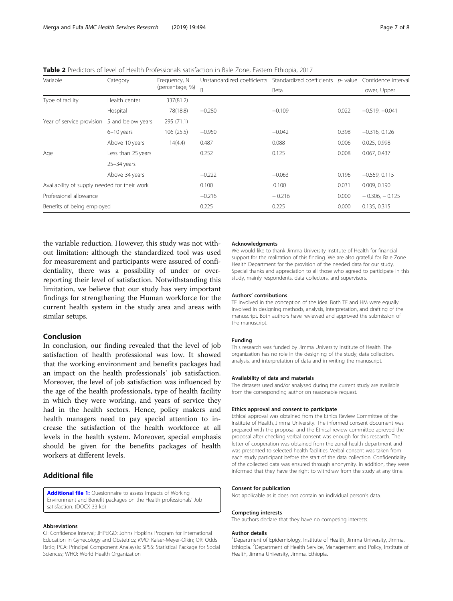<span id="page-6-0"></span>Table 2 Predictors of level of Health Professionals satisfaction in Bale Zone, Eastern Ethiopia, 2017

| Variable                                     | Category           | Frequency, N<br>(percentage, %) | Unstandardized coefficients Standardized coefficients p-value Confidence interval |          |                     |                  |
|----------------------------------------------|--------------------|---------------------------------|-----------------------------------------------------------------------------------|----------|---------------------|------------------|
|                                              |                    |                                 | B                                                                                 | Beta     |                     | Lower, Upper     |
| Type of facility                             | Health center      | 337(81.2)                       |                                                                                   |          |                     |                  |
|                                              | Hospital           | 78(18.8)                        | $-0.280$                                                                          | $-0.109$ | 0.022               | $-0.519, -0.041$ |
| Year of service provision                    | 5 and below years  | 295 (71.1)                      |                                                                                   |          |                     |                  |
|                                              | $6-10$ years       | 106 (25.5)                      | $-0.950$                                                                          | $-0.042$ | 0.398               | $-0.316, 0.126$  |
|                                              | Above 10 years     | 14(4.4)                         | 0.487                                                                             | 0.088    | 0.006               | 0.025, 0.998     |
| Age                                          | Less than 25 years |                                 | 0.252                                                                             | 0.125    | 0.008               | 0.067, 0.437     |
|                                              | $25 - 34$ years    |                                 |                                                                                   |          |                     |                  |
|                                              | Above 34 years     |                                 | $-0.222$                                                                          | $-0.063$ | 0.196               | $-0.559, 0.115$  |
| Availability of supply needed for their work |                    | 0.100                           | .0.100                                                                            | 0.031    | 0.009, 0.190        |                  |
| Professional allowance                       |                    | $-0.216$                        | $-0.216$                                                                          | 0.000    | $-0.306$ , $-0.125$ |                  |
| Benefits of being employed                   |                    | 0.225                           | 0.225                                                                             | 0.000    | 0.135, 0.315        |                  |

the variable reduction. However, this study was not without limitation: although the standardized tool was used for measurement and participants were assured of confidentiality, there was a possibility of under or overreporting their level of satisfaction. Notwithstanding this limitation, we believe that our study has very important findings for strengthening the Human workforce for the current health system in the study area and areas with similar setups.

### Conclusion

In conclusion, our finding revealed that the level of job satisfaction of health professional was low. It showed that the working environment and benefits packages had an impact on the health professionals` job satisfaction. Moreover, the level of job satisfaction was influenced by the age of the health professionals, type of health facility in which they were working, and years of service they had in the health sectors. Hence, policy makers and health managers need to pay special attention to increase the satisfaction of the health workforce at all levels in the health system. Moreover, special emphasis should be given for the benefits packages of health workers at different levels.

### Additional file

[Additional file 1:](https://doi.org/10.1186/s12913-019-4317-5) Quesionnaire to assess impacts of Working Environment and Benefit packages on the Health professionals' Job satisfaction. (DOCX 33 kb)

#### Abbreviations

CI: Confidence Interval; JHPEIGO: Johns Hopkins Program for International Education in Gynecology and Obstetrics; KMO: Kaiser-Meyer-Olkin; OR: Odds Ratio; PCA: Principal Component Analaysis; SPSS: Statistical Package for Social Sciences; WHO: World Health Organization

#### Acknowledgments

We would like to thank Jimma University Institute of Health for financial support for the realization of this finding. We are also grateful for Bale Zone Health Department for the provision of the needed data for our study. Special thanks and appreciation to all those who agreed to participate in this study, mainly respondents, data collectors, and supervisors.

#### Authors' contributions

TF involved in the conception of the idea. Both TF and HM were equally involved in designing methods, analysis, interpretation, and drafting of the manuscript. Both authors have reviewed and approved the submission of the manuscript.

#### Funding

This research was funded by Jimma University Institute of Health. The organization has no role in the designing of the study, data collection, analysis, and interpretation of data and in writing the manuscript.

#### Availability of data and materials

The datasets used and/or analysed during the current study are available from the corresponding author on reasonable request.

#### Ethics approval and consent to participate

Ethical approval was obtained from the Ethics Review Committee of the Institute of Health, Jimma University. The informed consent document was prepared with the proposal and the Ethical review committee aproved the proposal after checking verbal consent was enough for this research. The letter of cooperation was obtained from the zonal health department and was presented to selected health facilities. Verbal consent was taken from each study participant before the start of the data collection. Confidentiality of the collected data was ensured through anonymity. In addition, they were informed that they have the right to withdraw from the study at any time.

#### Consent for publication

Not applicable as it does not contain an individual person's data.

#### Competing interests

The authors declare that they have no competing interests.

#### Author details

<sup>1</sup>Department of Epidemiology, Institute of Health, Jimma University, Jimma Ethiopia. <sup>2</sup>Department of Health Service, Management and Policy, Institute of Health, Jimma University, Jimma, Ethiopia.